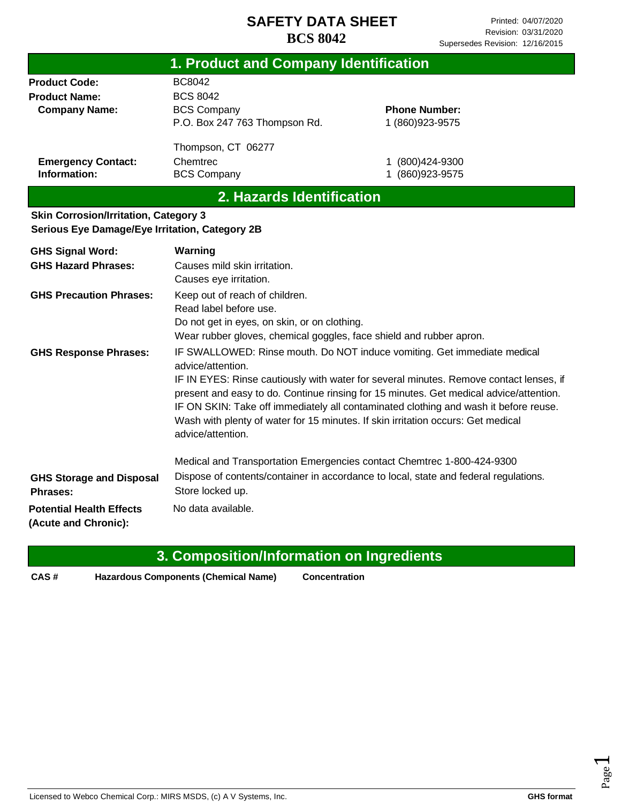| 1. Product and Company Identification                                                          |                                                                                                                                                                                 |                                                                                                                                                                                                                                                                                                                                                                                                                                          |
|------------------------------------------------------------------------------------------------|---------------------------------------------------------------------------------------------------------------------------------------------------------------------------------|------------------------------------------------------------------------------------------------------------------------------------------------------------------------------------------------------------------------------------------------------------------------------------------------------------------------------------------------------------------------------------------------------------------------------------------|
| <b>Product Code:</b><br><b>Product Name:</b><br><b>Company Name:</b>                           | <b>BC8042</b><br><b>BCS 8042</b><br><b>BCS Company</b><br>P.O. Box 247 763 Thompson Rd.                                                                                         | <b>Phone Number:</b><br>1 (860) 923-9575                                                                                                                                                                                                                                                                                                                                                                                                 |
| <b>Emergency Contact:</b><br>Information:                                                      | Thompson, CT 06277<br>Chemtrec<br><b>BCS Company</b>                                                                                                                            | 1 (800) 424-9300<br>1 (860) 923-9575                                                                                                                                                                                                                                                                                                                                                                                                     |
|                                                                                                | 2. Hazards Identification                                                                                                                                                       |                                                                                                                                                                                                                                                                                                                                                                                                                                          |
| <b>Skin Corrosion/Irritation, Category 3</b><br>Serious Eye Damage/Eye Irritation, Category 2B |                                                                                                                                                                                 |                                                                                                                                                                                                                                                                                                                                                                                                                                          |
| <b>GHS Signal Word:</b><br><b>GHS Hazard Phrases:</b>                                          | Warning<br>Causes mild skin irritation.<br>Causes eye irritation.                                                                                                               |                                                                                                                                                                                                                                                                                                                                                                                                                                          |
| <b>GHS Precaution Phrases:</b>                                                                 | Keep out of reach of children.<br>Read label before use.<br>Do not get in eyes, on skin, or on clothing.<br>Wear rubber gloves, chemical goggles, face shield and rubber apron. |                                                                                                                                                                                                                                                                                                                                                                                                                                          |
| <b>GHS Response Phrases:</b>                                                                   | advice/attention.<br>advice/attention.                                                                                                                                          | IF SWALLOWED: Rinse mouth. Do NOT induce vomiting. Get immediate medical<br>IF IN EYES: Rinse cautiously with water for several minutes. Remove contact lenses, if<br>present and easy to do. Continue rinsing for 15 minutes. Get medical advice/attention.<br>IF ON SKIN: Take off immediately all contaminated clothing and wash it before reuse.<br>Wash with plenty of water for 15 minutes. If skin irritation occurs: Get medical |
| <b>GHS Storage and Disposal</b><br>Phrases:                                                    | Medical and Transportation Emergencies contact Chemtrec 1-800-424-9300<br>Store locked up.                                                                                      | Dispose of contents/container in accordance to local, state and federal regulations.                                                                                                                                                                                                                                                                                                                                                     |
| <b>Potential Health Effects</b><br>(Acute and Chronic):                                        | No data available.                                                                                                                                                              |                                                                                                                                                                                                                                                                                                                                                                                                                                          |

|      | 3. Composition/Information on Ingredients   |                      |
|------|---------------------------------------------|----------------------|
| CAS# | <b>Hazardous Components (Chemical Name)</b> | <b>Concentration</b> |

# Page  $\overline{\phantom{0}}$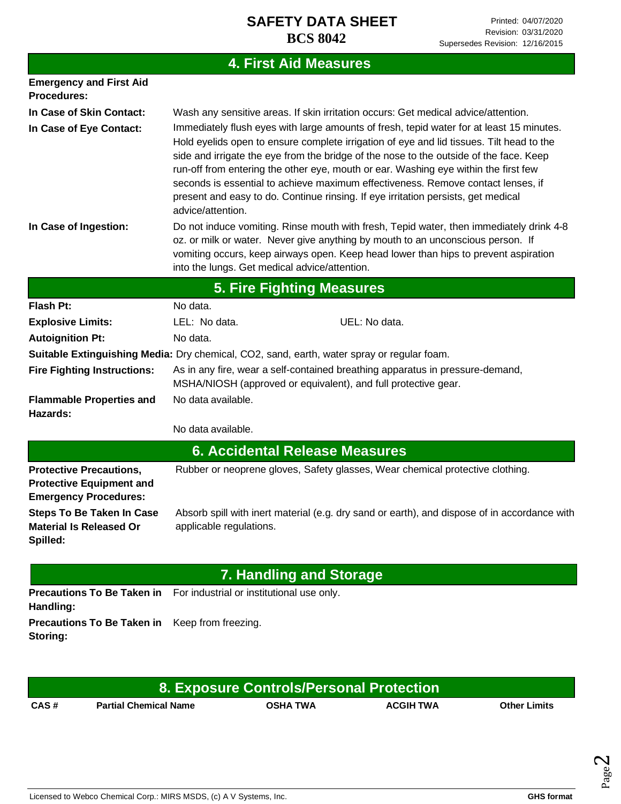# **4. First Aid Measures**

| <b>Emergency and First Aid</b><br>Procedures:                                                     |                                                                                                                                                                                                                                                                                                                                                                                                                                                                                                                                                                     |  |  |  |
|---------------------------------------------------------------------------------------------------|---------------------------------------------------------------------------------------------------------------------------------------------------------------------------------------------------------------------------------------------------------------------------------------------------------------------------------------------------------------------------------------------------------------------------------------------------------------------------------------------------------------------------------------------------------------------|--|--|--|
| In Case of Skin Contact:                                                                          | Wash any sensitive areas. If skin irritation occurs: Get medical advice/attention.                                                                                                                                                                                                                                                                                                                                                                                                                                                                                  |  |  |  |
| In Case of Eye Contact:                                                                           | Immediately flush eyes with large amounts of fresh, tepid water for at least 15 minutes.<br>Hold eyelids open to ensure complete irrigation of eye and lid tissues. Tilt head to the<br>side and irrigate the eye from the bridge of the nose to the outside of the face. Keep<br>run-off from entering the other eye, mouth or ear. Washing eye within the first few<br>seconds is essential to achieve maximum effectiveness. Remove contact lenses, if<br>present and easy to do. Continue rinsing. If eye irritation persists, get medical<br>advice/attention. |  |  |  |
| In Case of Ingestion:                                                                             | Do not induce vomiting. Rinse mouth with fresh, Tepid water, then immediately drink 4-8<br>oz. or milk or water. Never give anything by mouth to an unconscious person. If<br>vomiting occurs, keep airways open. Keep head lower than hips to prevent aspiration<br>into the lungs. Get medical advice/attention.                                                                                                                                                                                                                                                  |  |  |  |
|                                                                                                   | <b>5. Fire Fighting Measures</b>                                                                                                                                                                                                                                                                                                                                                                                                                                                                                                                                    |  |  |  |
| <b>Flash Pt:</b>                                                                                  | No data.                                                                                                                                                                                                                                                                                                                                                                                                                                                                                                                                                            |  |  |  |
| <b>Explosive Limits:</b>                                                                          | LEL: No data.<br>UEL: No data.                                                                                                                                                                                                                                                                                                                                                                                                                                                                                                                                      |  |  |  |
| <b>Autoignition Pt:</b>                                                                           | No data.                                                                                                                                                                                                                                                                                                                                                                                                                                                                                                                                                            |  |  |  |
|                                                                                                   | Suitable Extinguishing Media: Dry chemical, CO2, sand, earth, water spray or regular foam.                                                                                                                                                                                                                                                                                                                                                                                                                                                                          |  |  |  |
| <b>Fire Fighting Instructions:</b>                                                                | As in any fire, wear a self-contained breathing apparatus in pressure-demand,<br>MSHA/NIOSH (approved or equivalent), and full protective gear.                                                                                                                                                                                                                                                                                                                                                                                                                     |  |  |  |
| <b>Flammable Properties and</b><br>Hazards:                                                       | No data available.                                                                                                                                                                                                                                                                                                                                                                                                                                                                                                                                                  |  |  |  |
|                                                                                                   | No data available.                                                                                                                                                                                                                                                                                                                                                                                                                                                                                                                                                  |  |  |  |
|                                                                                                   | <b>6. Accidental Release Measures</b>                                                                                                                                                                                                                                                                                                                                                                                                                                                                                                                               |  |  |  |
| <b>Protective Precautions,</b><br><b>Protective Equipment and</b><br><b>Emergency Procedures:</b> | Rubber or neoprene gloves, Safety glasses, Wear chemical protective clothing.                                                                                                                                                                                                                                                                                                                                                                                                                                                                                       |  |  |  |
| <b>Steps To Be Taken In Case</b><br><b>Material Is Released Or</b><br>Spilled:                    | Absorb spill with inert material (e.g. dry sand or earth), and dispose of in accordance with<br>applicable regulations.                                                                                                                                                                                                                                                                                                                                                                                                                                             |  |  |  |
|                                                                                                   | <b>7. Handling and Storage</b>                                                                                                                                                                                                                                                                                                                                                                                                                                                                                                                                      |  |  |  |
| <b>Precautions To Be Taken in</b><br>Handling:                                                    | For industrial or institutional use only.                                                                                                                                                                                                                                                                                                                                                                                                                                                                                                                           |  |  |  |

**Precautions To Be Taken in**  Keep from freezing. **Storing:**

| 8. Exposure Controls/Personal Protection \ |                              |                 |                  |                     |  |
|--------------------------------------------|------------------------------|-----------------|------------------|---------------------|--|
| CAS#                                       | <b>Partial Chemical Name</b> | <b>OSHA TWA</b> | <b>ACGIH TWA</b> | <b>Other Limits</b> |  |

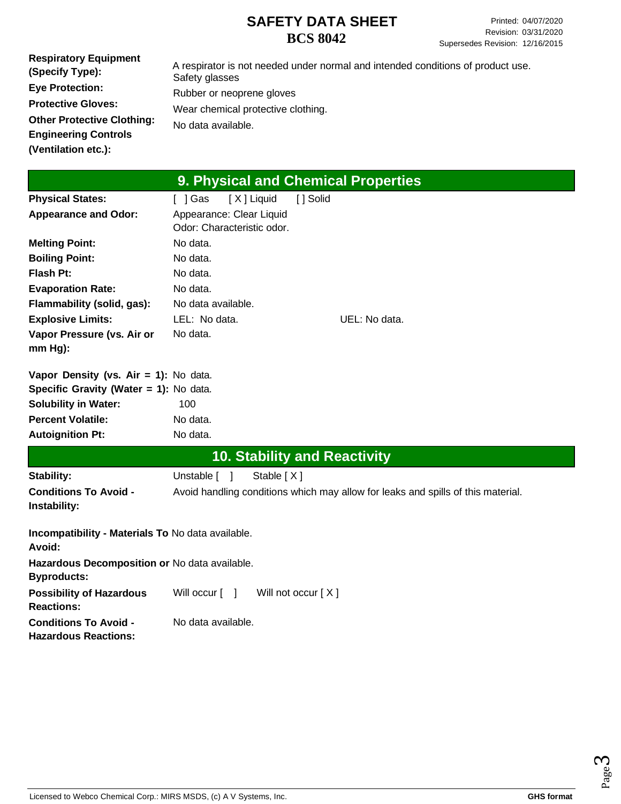| <b>Respiratory Equipment</b><br>(Specify Type): | A respirator is not needed under normal and intended conditions of product use.<br>Safety glasses |
|-------------------------------------------------|---------------------------------------------------------------------------------------------------|
| <b>Eye Protection:</b>                          | Rubber or neoprene gloves                                                                         |
| <b>Protective Gloves:</b>                       | Wear chemical protective clothing.                                                                |
| <b>Other Protective Clothing:</b>               | No data available.                                                                                |
| <b>Engineering Controls</b>                     |                                                                                                   |
| (Ventilation etc.):                             |                                                                                                   |

# **9. Physical and Chemical Properties**

| <b>Physical States:</b>                 | 「 ]Gas             | [X] Liquid                                             | [ ] Solid |                                                         |
|-----------------------------------------|--------------------|--------------------------------------------------------|-----------|---------------------------------------------------------|
| <b>Appearance and Odor:</b>             |                    | Appearance: Clear Liquid<br>Odor: Characteristic odor. |           |                                                         |
| <b>Melting Point:</b>                   | No data.           |                                                        |           |                                                         |
| <b>Boiling Point:</b>                   | No data.           |                                                        |           |                                                         |
| Flash Pt:                               | No data.           |                                                        |           |                                                         |
| <b>Evaporation Rate:</b>                | No data.           |                                                        |           |                                                         |
| Flammability (solid, gas):              | No data available. |                                                        |           |                                                         |
| <b>Explosive Limits:</b>                | LEL: No data.      |                                                        |           | UEL: No data.                                           |
| Vapor Pressure (vs. Air or<br>$mm Hg$ : | No data.           |                                                        |           |                                                         |
| Vapor Density (vs. Air = 1): No data.   |                    |                                                        |           |                                                         |
| Specific Gravity (Water = 1): No data.  |                    |                                                        |           |                                                         |
| <b>Solubility in Water:</b>             | 100                |                                                        |           |                                                         |
| <b>Percent Volatile:</b>                | No data.           |                                                        |           |                                                         |
| <b>Autoignition Pt:</b>                 | No data.           |                                                        |           |                                                         |
|                                         |                    | <b>10. Stability and Reactivity</b>                    |           |                                                         |
| <b>Stability:</b>                       | Unstable [ ]       | Stable $[X]$                                           |           |                                                         |
| Canditions To Avoid                     |                    |                                                        |           | Avoid bandling conditions which may allow for looks and |

| """                          | $\frac{1}{2}$                                                                    |
|------------------------------|----------------------------------------------------------------------------------|
| <b>Conditions To Avoid -</b> | Avoid handling conditions which may allow for leaks and spills of this material. |
| Instability:                 |                                                                                  |
|                              |                                                                                  |

| Incompatibility - Materials To No data available.<br>Avoid:         |                    |                                                                                                    |
|---------------------------------------------------------------------|--------------------|----------------------------------------------------------------------------------------------------|
| Hazardous Decomposition or No data available.<br><b>Byproducts:</b> |                    |                                                                                                    |
| <b>Possibility of Hazardous</b><br><b>Reactions:</b>                |                    | Will occur $\begin{bmatrix} 1 \\ 1 \end{bmatrix}$ Will not occur $\begin{bmatrix} X \end{bmatrix}$ |
| <b>Conditions To Avoid -</b><br><b>Hazardous Reactions:</b>         | No data available. |                                                                                                    |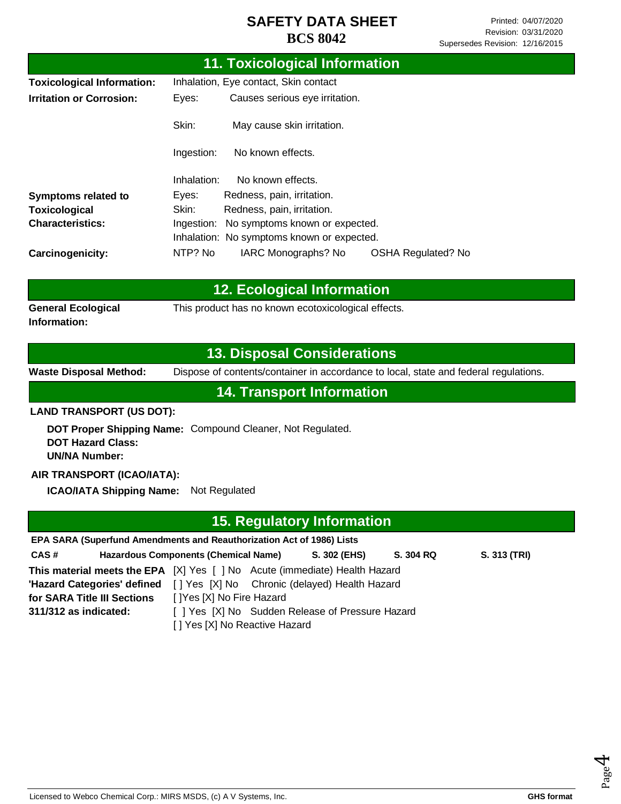|                                                                                     | <b>11. Toxicological Information</b>                                                                                                                                                                               |  |  |  |
|-------------------------------------------------------------------------------------|--------------------------------------------------------------------------------------------------------------------------------------------------------------------------------------------------------------------|--|--|--|
| <b>Toxicological Information:</b>                                                   | Inhalation, Eye contact, Skin contact                                                                                                                                                                              |  |  |  |
| <b>Irritation or Corrosion:</b>                                                     | Causes serious eye irritation.<br>Eyes:                                                                                                                                                                            |  |  |  |
|                                                                                     | Skin:<br>May cause skin irritation.                                                                                                                                                                                |  |  |  |
|                                                                                     | Ingestion:<br>No known effects.                                                                                                                                                                                    |  |  |  |
|                                                                                     | Inhalation:<br>No known effects.                                                                                                                                                                                   |  |  |  |
| <b>Symptoms related to</b>                                                          | Redness, pain, irritation.<br>Eyes:                                                                                                                                                                                |  |  |  |
| <b>Toxicological</b>                                                                | Skin:<br>Redness, pain, irritation.                                                                                                                                                                                |  |  |  |
| <b>Characteristics:</b>                                                             | Ingestion: No symptoms known or expected.                                                                                                                                                                          |  |  |  |
|                                                                                     | Inhalation: No symptoms known or expected.                                                                                                                                                                         |  |  |  |
| Carcinogenicity:                                                                    | NTP? No<br>IARC Monographs? No<br><b>OSHA Regulated? No</b>                                                                                                                                                        |  |  |  |
|                                                                                     | <b>12. Ecological Information</b>                                                                                                                                                                                  |  |  |  |
|                                                                                     |                                                                                                                                                                                                                    |  |  |  |
| <b>General Ecological</b><br>Information:                                           | This product has no known ecotoxicological effects.                                                                                                                                                                |  |  |  |
|                                                                                     | <b>13. Disposal Considerations</b>                                                                                                                                                                                 |  |  |  |
| <b>Waste Disposal Method:</b>                                                       | Dispose of contents/container in accordance to local, state and federal regulations.                                                                                                                               |  |  |  |
|                                                                                     | <b>14. Transport Information</b>                                                                                                                                                                                   |  |  |  |
| <b>LAND TRANSPORT (US DOT):</b>                                                     |                                                                                                                                                                                                                    |  |  |  |
| <b>DOT Hazard Class:</b><br><b>UN/NA Number:</b>                                    | DOT Proper Shipping Name: Compound Cleaner, Not Regulated.                                                                                                                                                         |  |  |  |
| AIR TRANSPORT (ICAO/IATA):                                                          |                                                                                                                                                                                                                    |  |  |  |
| <b>ICAO/IATA Shipping Name:</b>                                                     | Not Regulated                                                                                                                                                                                                      |  |  |  |
|                                                                                     | <b>15. Regulatory Information</b>                                                                                                                                                                                  |  |  |  |
|                                                                                     | EPA SARA (Superfund Amendments and Reauthorization Act of 1986) Lists                                                                                                                                              |  |  |  |
| CAS#                                                                                | <b>Hazardous Components (Chemical Name)</b><br>S. 302 (EHS)<br>S. 304 RQ<br>S. 313 (TRI)                                                                                                                           |  |  |  |
| 'Hazard Categories' defined<br>for SARA Title III Sections<br>311/312 as indicated: | <b>This material meets the EPA</b> [X] Yes [] No Acute (immediate) Health Hazard<br>[] Yes [X] No Chronic (delayed) Health Hazard<br>[ ]Yes [X] No Fire Hazard<br>[ ] Yes [X] No Sudden Release of Pressure Hazard |  |  |  |
|                                                                                     | [] Yes [X] No Reactive Hazard                                                                                                                                                                                      |  |  |  |

Page 4